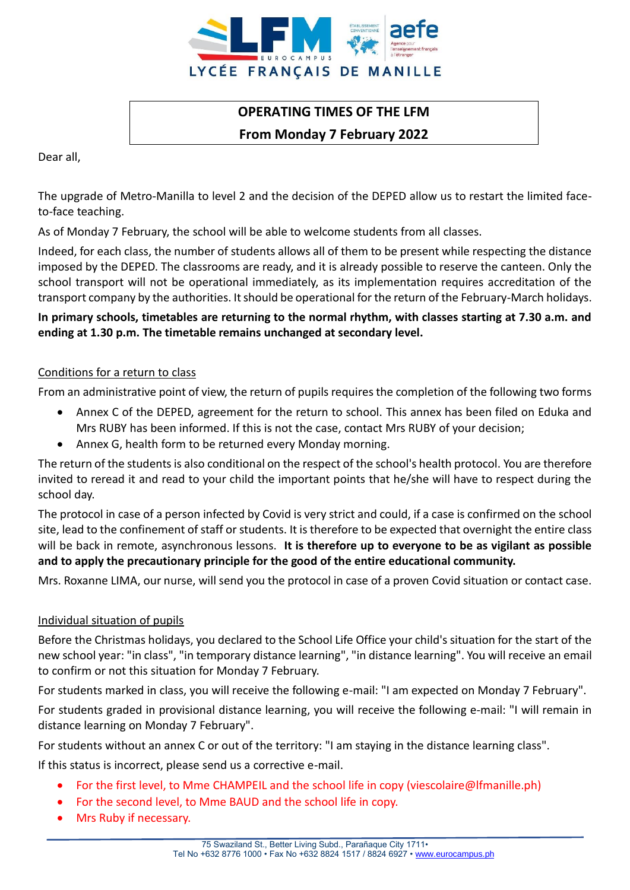

# **OPERATING TIMES OF THE LFM From Monday 7 February 2022**

Dear all,

The upgrade of Metro-Manilla to level 2 and the decision of the DEPED allow us to restart the limited faceto-face teaching.

As of Monday 7 February, the school will be able to welcome students from all classes.

Indeed, for each class, the number of students allows all of them to be present while respecting the distance imposed by the DEPED. The classrooms are ready, and it is already possible to reserve the canteen. Only the school transport will not be operational immediately, as its implementation requires accreditation of the transport company by the authorities. It should be operational for the return of the February-March holidays.

# **In primary schools, timetables are returning to the normal rhythm, with classes starting at 7.30 a.m. and ending at 1.30 p.m. The timetable remains unchanged at secondary level.**

# Conditions for a return to class

From an administrative point of view, the return of pupils requires the completion of the following two forms

- Annex C of the DEPED, agreement for the return to school. This annex has been filed on Eduka and Mrs RUBY has been informed. If this is not the case, contact Mrs RUBY of your decision;
- Annex G, health form to be returned every Monday morning.

The return of the students is also conditional on the respect of the school's health protocol. You are therefore invited to reread it and read to your child the important points that he/she will have to respect during the school day.

The protocol in case of a person infected by Covid is very strict and could, if a case is confirmed on the school site, lead to the confinement of staff or students. It is therefore to be expected that overnight the entire class will be back in remote, asynchronous lessons. **It is therefore up to everyone to be as vigilant as possible and to apply the precautionary principle for the good of the entire educational community.**

Mrs. Roxanne LIMA, our nurse, will send you the protocol in case of a proven Covid situation or contact case.

# Individual situation of pupils

Before the Christmas holidays, you declared to the School Life Office your child's situation for the start of the new school year: "in class", "in temporary distance learning", "in distance learning". You will receive an email to confirm or not this situation for Monday 7 February.

For students marked in class, you will receive the following e-mail: "I am expected on Monday 7 February".

For students graded in provisional distance learning, you will receive the following e-mail: "I will remain in distance learning on Monday 7 February".

For students without an annex C or out of the territory: "I am staying in the distance learning class".

If this status is incorrect, please send us a corrective e-mail.

- For the first level, to Mme CHAMPEIL and the school life in copy (viescolaire@lfmanille.ph)
- For the second level, to Mme BAUD and the school life in copy.
- Mrs Ruby if necessary.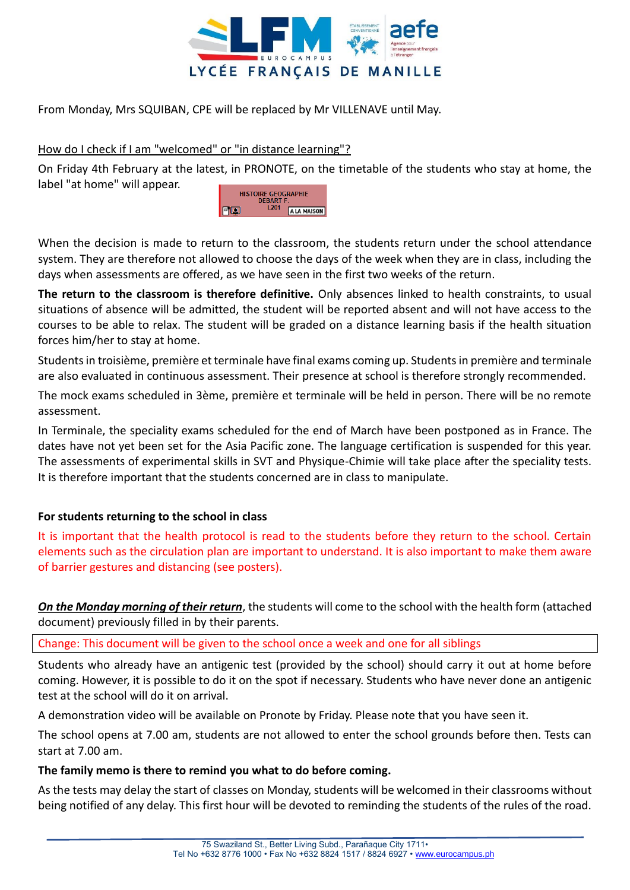

From Monday, Mrs SQUIBAN, CPE will be replaced by Mr VILLENAVE until May.

# How do I check if I am "welcomed" or "in distance learning"?

On Friday 4th February at the latest, in PRONOTE, on the timetable of the students who stay at home, the label "at home" will appear.



When the decision is made to return to the classroom, the students return under the school attendance system. They are therefore not allowed to choose the days of the week when they are in class, including the days when assessments are offered, as we have seen in the first two weeks of the return.

**The return to the classroom is therefore definitive.** Only absences linked to health constraints, to usual situations of absence will be admitted, the student will be reported absent and will not have access to the courses to be able to relax. The student will be graded on a distance learning basis if the health situation forces him/her to stay at home.

Students in troisième, première et terminale have final exams coming up. Students in première and terminale are also evaluated in continuous assessment. Their presence at school is therefore strongly recommended.

The mock exams scheduled in 3ème, première et terminale will be held in person. There will be no remote assessment.

In Terminale, the speciality exams scheduled for the end of March have been postponed as in France. The dates have not yet been set for the Asia Pacific zone. The language certification is suspended for this year. The assessments of experimental skills in SVT and Physique-Chimie will take place after the speciality tests. It is therefore important that the students concerned are in class to manipulate.

# **For students returning to the school in class**

It is important that the health protocol is read to the students before they return to the school. Certain elements such as the circulation plan are important to understand. It is also important to make them aware of barrier gestures and distancing (see posters).

*On the Monday morning of their return*, the students will come to the school with the health form (attached document) previously filled in by their parents.

Change: This document will be given to the school once a week and one for all siblings

Students who already have an antigenic test (provided by the school) should carry it out at home before coming. However, it is possible to do it on the spot if necessary. Students who have never done an antigenic test at the school will do it on arrival.

A demonstration video will be available on Pronote by Friday. Please note that you have seen it.

The school opens at 7.00 am, students are not allowed to enter the school grounds before then. Tests can start at 7.00 am.

#### **The family memo is there to remind you what to do before coming.**

As the tests may delay the start of classes on Monday, students will be welcomed in their classrooms without being notified of any delay. This first hour will be devoted to reminding the students of the rules of the road.